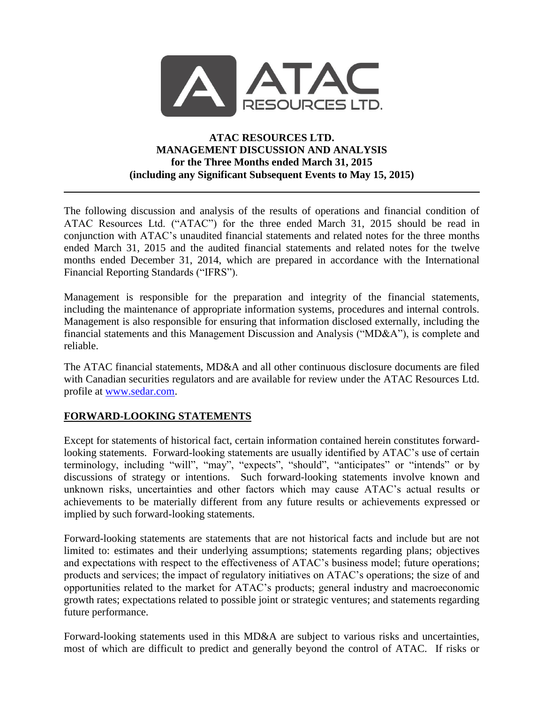

## **ATAC RESOURCES LTD. MANAGEMENT DISCUSSION AND ANALYSIS for the Three Months ended March 31, 2015 (including any Significant Subsequent Events to May 15, 2015)**

The following discussion and analysis of the results of operations and financial condition of ATAC Resources Ltd. ("ATAC") for the three ended March 31, 2015 should be read in conjunction with ATAC's unaudited financial statements and related notes for the three months ended March 31, 2015 and the audited financial statements and related notes for the twelve months ended December 31, 2014, which are prepared in accordance with the International Financial Reporting Standards ("IFRS").

Management is responsible for the preparation and integrity of the financial statements, including the maintenance of appropriate information systems, procedures and internal controls. Management is also responsible for ensuring that information disclosed externally, including the financial statements and this Management Discussion and Analysis ("MD&A"), is complete and reliable.

The ATAC financial statements, MD&A and all other continuous disclosure documents are filed with Canadian securities regulators and are available for review under the ATAC Resources Ltd. profile at [www.sedar.com.](http://www.sedar.com/)

## **FORWARD-LOOKING STATEMENTS**

Except for statements of historical fact, certain information contained herein constitutes forwardlooking statements. Forward-looking statements are usually identified by ATAC's use of certain terminology, including "will", "may", "expects", "should", "anticipates" or "intends" or by discussions of strategy or intentions. Such forward-looking statements involve known and unknown risks, uncertainties and other factors which may cause ATAC's actual results or achievements to be materially different from any future results or achievements expressed or implied by such forward-looking statements.

Forward-looking statements are statements that are not historical facts and include but are not limited to: estimates and their underlying assumptions; statements regarding plans; objectives and expectations with respect to the effectiveness of ATAC's business model; future operations; products and services; the impact of regulatory initiatives on ATAC's operations; the size of and opportunities related to the market for ATAC's products; general industry and macroeconomic growth rates; expectations related to possible joint or strategic ventures; and statements regarding future performance.

Forward-looking statements used in this MD&A are subject to various risks and uncertainties, most of which are difficult to predict and generally beyond the control of ATAC. If risks or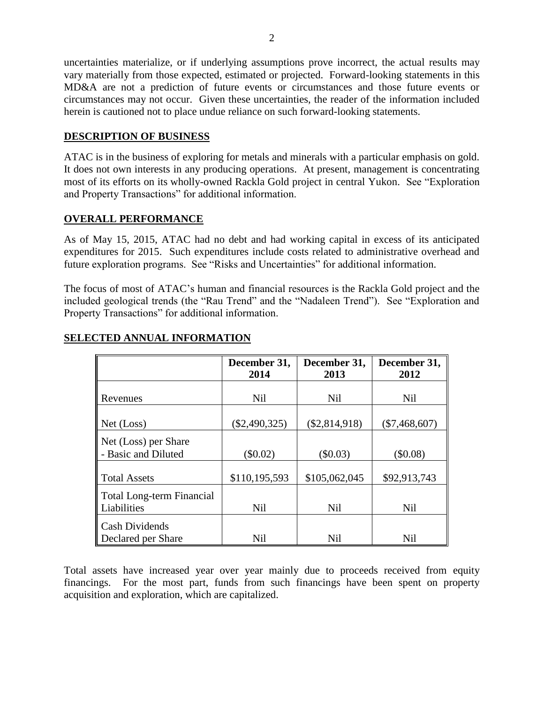uncertainties materialize, or if underlying assumptions prove incorrect, the actual results may vary materially from those expected, estimated or projected. Forward-looking statements in this MD&A are not a prediction of future events or circumstances and those future events or circumstances may not occur. Given these uncertainties, the reader of the information included herein is cautioned not to place undue reliance on such forward-looking statements.

#### **DESCRIPTION OF BUSINESS**

ATAC is in the business of exploring for metals and minerals with a particular emphasis on gold. It does not own interests in any producing operations. At present, management is concentrating most of its efforts on its wholly-owned Rackla Gold project in central Yukon. See "Exploration and Property Transactions" for additional information.

### **OVERALL PERFORMANCE**

As of May 15, 2015, ATAC had no debt and had working capital in excess of its anticipated expenditures for 2015. Such expenditures include costs related to administrative overhead and future exploration programs. See "Risks and Uncertainties" for additional information.

The focus of most of ATAC's human and financial resources is the Rackla Gold project and the included geological trends (the "Rau Trend" and the "Nadaleen Trend"). See "Exploration and Property Transactions" for additional information.

|                                                 | December 31,<br>2014 | December 31,<br>2013 | December 31,<br>2012 |
|-------------------------------------------------|----------------------|----------------------|----------------------|
| Revenues                                        | <b>Nil</b>           | <b>Nil</b>           | <b>Nil</b>           |
| Net (Loss)                                      | $(\$2,490,325)$      | $(\$2,814,918)$      | $(\$7,468,607)$      |
| Net (Loss) per Share<br>- Basic and Diluted     | $(\$0.02)$           | $(\$0.03)$           | (\$0.08)             |
| <b>Total Assets</b>                             | \$110,195,593        | \$105,062,045        | \$92,913,743         |
| <b>Total Long-term Financial</b><br>Liabilities | <b>Nil</b>           | <b>Nil</b>           | <b>Nil</b>           |
| <b>Cash Dividends</b><br>Declared per Share     | <b>Nil</b>           | <b>Nil</b>           | <b>Nil</b>           |

### **SELECTED ANNUAL INFORMATION**

Total assets have increased year over year mainly due to proceeds received from equity financings. For the most part, funds from such financings have been spent on property acquisition and exploration, which are capitalized.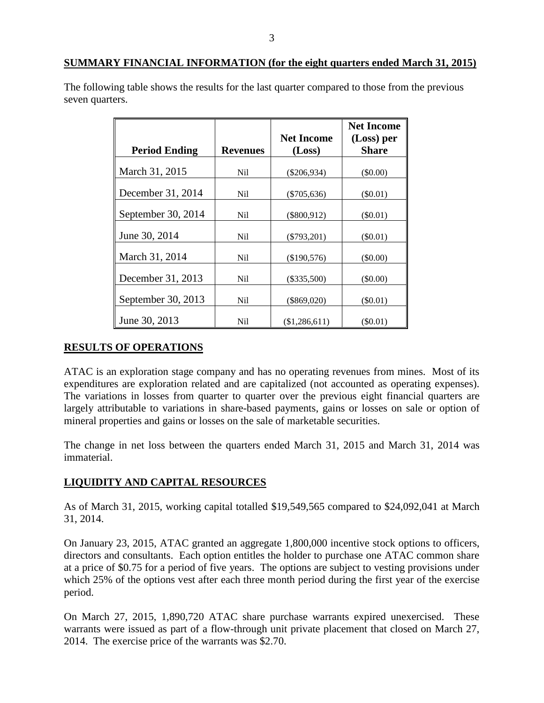The following table shows the results for the last quarter compared to those from the previous seven quarters.

|                      |                 |                   | <b>Net Income</b> |
|----------------------|-----------------|-------------------|-------------------|
|                      |                 | <b>Net Income</b> | (Loss) per        |
| <b>Period Ending</b> | <b>Revenues</b> | (Loss)            | <b>Share</b>      |
| March 31, 2015       | Nil             | $(\$206,934)$     | $($ \$0.00)       |
| December 31, 2014    | Ni1             | $(\$705,636)$     | $(\$0.01)$        |
| September 30, 2014   | Nil.            | $(\$800,912)$     | $(\$0.01)$        |
| June 30, 2014        | Ni1             | $(\$793,201)$     | $(\$0.01)$        |
| March 31, 2014       | Nil             | (\$190,576)       | $(\$0.00)$        |
| December 31, 2013    | Ni1             | $(\$335,500)$     | $(\$0.00)$        |
| September 30, 2013   | Ni1             | $(\$869,020)$     | $(\$0.01)$        |
| June 30, 2013        | Nil             | (\$1,286,611)     | (S0.01)           |

## **RESULTS OF OPERATIONS**

ATAC is an exploration stage company and has no operating revenues from mines. Most of its expenditures are exploration related and are capitalized (not accounted as operating expenses). The variations in losses from quarter to quarter over the previous eight financial quarters are largely attributable to variations in share-based payments, gains or losses on sale or option of mineral properties and gains or losses on the sale of marketable securities.

The change in net loss between the quarters ended March 31, 2015 and March 31, 2014 was immaterial.

## **LIQUIDITY AND CAPITAL RESOURCES**

As of March 31, 2015, working capital totalled \$19,549,565 compared to \$24,092,041 at March 31, 2014.

On January 23, 2015, ATAC granted an aggregate 1,800,000 incentive stock options to officers, directors and consultants. Each option entitles the holder to purchase one ATAC common share at a price of \$0.75 for a period of five years. The options are subject to vesting provisions under which 25% of the options vest after each three month period during the first year of the exercise period.

On March 27, 2015, 1,890,720 ATAC share purchase warrants expired unexercised. These warrants were issued as part of a flow-through unit private placement that closed on March 27, 2014. The exercise price of the warrants was \$2.70.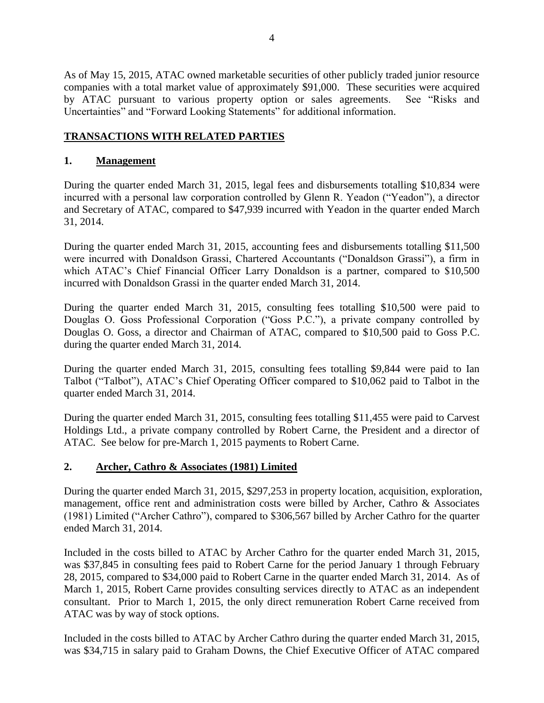As of May 15, 2015, ATAC owned marketable securities of other publicly traded junior resource companies with a total market value of approximately \$91,000. These securities were acquired by ATAC pursuant to various property option or sales agreements. See "Risks and Uncertainties" and "Forward Looking Statements" for additional information.

## **TRANSACTIONS WITH RELATED PARTIES**

#### **1. Management**

During the quarter ended March 31, 2015, legal fees and disbursements totalling \$10,834 were incurred with a personal law corporation controlled by Glenn R. Yeadon ("Yeadon"), a director and Secretary of ATAC, compared to \$47,939 incurred with Yeadon in the quarter ended March 31, 2014.

During the quarter ended March 31, 2015, accounting fees and disbursements totalling \$11,500 were incurred with Donaldson Grassi, Chartered Accountants ("Donaldson Grassi"), a firm in which ATAC's Chief Financial Officer Larry Donaldson is a partner, compared to \$10,500 incurred with Donaldson Grassi in the quarter ended March 31, 2014.

During the quarter ended March 31, 2015, consulting fees totalling \$10,500 were paid to Douglas O. Goss Professional Corporation ("Goss P.C."), a private company controlled by Douglas O. Goss, a director and Chairman of ATAC, compared to \$10,500 paid to Goss P.C. during the quarter ended March 31, 2014.

During the quarter ended March 31, 2015, consulting fees totalling \$9,844 were paid to Ian Talbot ("Talbot"), ATAC's Chief Operating Officer compared to \$10,062 paid to Talbot in the quarter ended March 31, 2014.

During the quarter ended March 31, 2015, consulting fees totalling \$11,455 were paid to Carvest Holdings Ltd., a private company controlled by Robert Carne, the President and a director of ATAC. See below for pre-March 1, 2015 payments to Robert Carne.

## **2. Archer, Cathro & Associates (1981) Limited**

During the quarter ended March 31, 2015, \$297,253 in property location, acquisition, exploration, management, office rent and administration costs were billed by Archer, Cathro & Associates (1981) Limited ("Archer Cathro"), compared to \$306,567 billed by Archer Cathro for the quarter ended March 31, 2014.

Included in the costs billed to ATAC by Archer Cathro for the quarter ended March 31, 2015, was \$37,845 in consulting fees paid to Robert Carne for the period January 1 through February 28, 2015, compared to \$34,000 paid to Robert Carne in the quarter ended March 31, 2014. As of March 1, 2015, Robert Carne provides consulting services directly to ATAC as an independent consultant. Prior to March 1, 2015, the only direct remuneration Robert Carne received from ATAC was by way of stock options.

Included in the costs billed to ATAC by Archer Cathro during the quarter ended March 31, 2015, was \$34,715 in salary paid to Graham Downs, the Chief Executive Officer of ATAC compared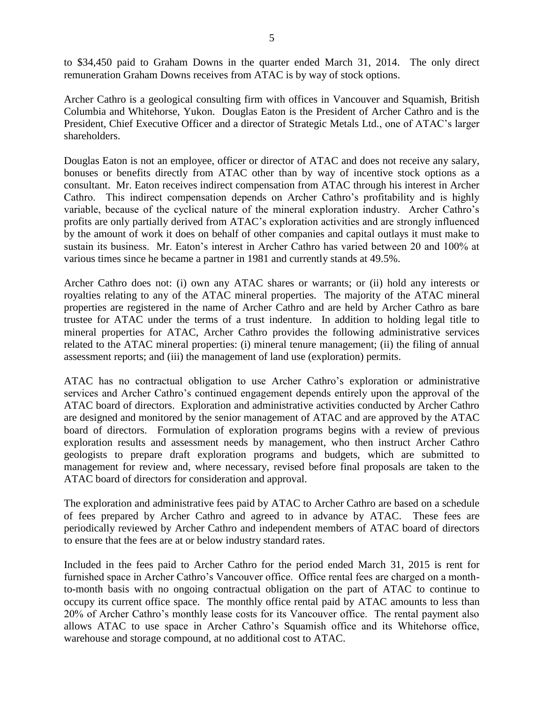to \$34,450 paid to Graham Downs in the quarter ended March 31, 2014. The only direct remuneration Graham Downs receives from ATAC is by way of stock options.

Archer Cathro is a geological consulting firm with offices in Vancouver and Squamish, British Columbia and Whitehorse, Yukon. Douglas Eaton is the President of Archer Cathro and is the President, Chief Executive Officer and a director of Strategic Metals Ltd., one of ATAC's larger shareholders.

Douglas Eaton is not an employee, officer or director of ATAC and does not receive any salary, bonuses or benefits directly from ATAC other than by way of incentive stock options as a consultant. Mr. Eaton receives indirect compensation from ATAC through his interest in Archer Cathro. This indirect compensation depends on Archer Cathro's profitability and is highly variable, because of the cyclical nature of the mineral exploration industry. Archer Cathro's profits are only partially derived from ATAC's exploration activities and are strongly influenced by the amount of work it does on behalf of other companies and capital outlays it must make to sustain its business. Mr. Eaton's interest in Archer Cathro has varied between 20 and 100% at various times since he became a partner in 1981 and currently stands at 49.5%.

Archer Cathro does not: (i) own any ATAC shares or warrants; or (ii) hold any interests or royalties relating to any of the ATAC mineral properties. The majority of the ATAC mineral properties are registered in the name of Archer Cathro and are held by Archer Cathro as bare trustee for ATAC under the terms of a trust indenture. In addition to holding legal title to mineral properties for ATAC, Archer Cathro provides the following administrative services related to the ATAC mineral properties: (i) mineral tenure management; (ii) the filing of annual assessment reports; and (iii) the management of land use (exploration) permits.

ATAC has no contractual obligation to use Archer Cathro's exploration or administrative services and Archer Cathro's continued engagement depends entirely upon the approval of the ATAC board of directors. Exploration and administrative activities conducted by Archer Cathro are designed and monitored by the senior management of ATAC and are approved by the ATAC board of directors. Formulation of exploration programs begins with a review of previous exploration results and assessment needs by management, who then instruct Archer Cathro geologists to prepare draft exploration programs and budgets, which are submitted to management for review and, where necessary, revised before final proposals are taken to the ATAC board of directors for consideration and approval.

The exploration and administrative fees paid by ATAC to Archer Cathro are based on a schedule of fees prepared by Archer Cathro and agreed to in advance by ATAC. These fees are periodically reviewed by Archer Cathro and independent members of ATAC board of directors to ensure that the fees are at or below industry standard rates.

Included in the fees paid to Archer Cathro for the period ended March 31, 2015 is rent for furnished space in Archer Cathro's Vancouver office. Office rental fees are charged on a monthto-month basis with no ongoing contractual obligation on the part of ATAC to continue to occupy its current office space. The monthly office rental paid by ATAC amounts to less than 20% of Archer Cathro's monthly lease costs for its Vancouver office. The rental payment also allows ATAC to use space in Archer Cathro's Squamish office and its Whitehorse office, warehouse and storage compound, at no additional cost to ATAC.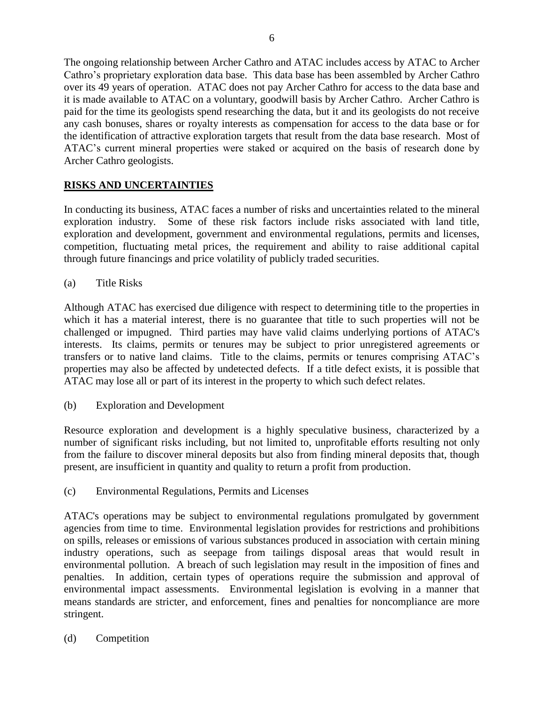The ongoing relationship between Archer Cathro and ATAC includes access by ATAC to Archer Cathro's proprietary exploration data base. This data base has been assembled by Archer Cathro over its 49 years of operation. ATAC does not pay Archer Cathro for access to the data base and it is made available to ATAC on a voluntary, goodwill basis by Archer Cathro. Archer Cathro is paid for the time its geologists spend researching the data, but it and its geologists do not receive any cash bonuses, shares or royalty interests as compensation for access to the data base or for the identification of attractive exploration targets that result from the data base research. Most of ATAC's current mineral properties were staked or acquired on the basis of research done by Archer Cathro geologists.

# **RISKS AND UNCERTAINTIES**

In conducting its business, ATAC faces a number of risks and uncertainties related to the mineral exploration industry. Some of these risk factors include risks associated with land title, exploration and development, government and environmental regulations, permits and licenses, competition, fluctuating metal prices, the requirement and ability to raise additional capital through future financings and price volatility of publicly traded securities.

(a) Title Risks

Although ATAC has exercised due diligence with respect to determining title to the properties in which it has a material interest, there is no guarantee that title to such properties will not be challenged or impugned. Third parties may have valid claims underlying portions of ATAC's interests. Its claims, permits or tenures may be subject to prior unregistered agreements or transfers or to native land claims. Title to the claims, permits or tenures comprising ATAC's properties may also be affected by undetected defects. If a title defect exists, it is possible that ATAC may lose all or part of its interest in the property to which such defect relates.

(b) Exploration and Development

Resource exploration and development is a highly speculative business, characterized by a number of significant risks including, but not limited to, unprofitable efforts resulting not only from the failure to discover mineral deposits but also from finding mineral deposits that, though present, are insufficient in quantity and quality to return a profit from production.

(c) Environmental Regulations, Permits and Licenses

ATAC's operations may be subject to environmental regulations promulgated by government agencies from time to time. Environmental legislation provides for restrictions and prohibitions on spills, releases or emissions of various substances produced in association with certain mining industry operations, such as seepage from tailings disposal areas that would result in environmental pollution. A breach of such legislation may result in the imposition of fines and penalties. In addition, certain types of operations require the submission and approval of environmental impact assessments. Environmental legislation is evolving in a manner that means standards are stricter, and enforcement, fines and penalties for noncompliance are more stringent.

(d) Competition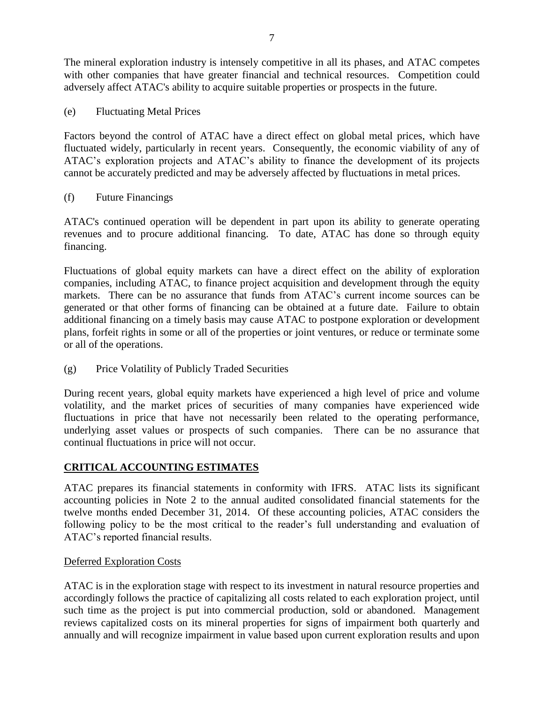The mineral exploration industry is intensely competitive in all its phases, and ATAC competes with other companies that have greater financial and technical resources. Competition could adversely affect ATAC's ability to acquire suitable properties or prospects in the future.

(e) Fluctuating Metal Prices

Factors beyond the control of ATAC have a direct effect on global metal prices, which have fluctuated widely, particularly in recent years. Consequently, the economic viability of any of ATAC's exploration projects and ATAC's ability to finance the development of its projects cannot be accurately predicted and may be adversely affected by fluctuations in metal prices.

(f) Future Financings

ATAC's continued operation will be dependent in part upon its ability to generate operating revenues and to procure additional financing. To date, ATAC has done so through equity financing.

Fluctuations of global equity markets can have a direct effect on the ability of exploration companies, including ATAC, to finance project acquisition and development through the equity markets. There can be no assurance that funds from ATAC's current income sources can be generated or that other forms of financing can be obtained at a future date. Failure to obtain additional financing on a timely basis may cause ATAC to postpone exploration or development plans, forfeit rights in some or all of the properties or joint ventures, or reduce or terminate some or all of the operations.

(g) Price Volatility of Publicly Traded Securities

During recent years, global equity markets have experienced a high level of price and volume volatility, and the market prices of securities of many companies have experienced wide fluctuations in price that have not necessarily been related to the operating performance, underlying asset values or prospects of such companies. There can be no assurance that continual fluctuations in price will not occur.

## **CRITICAL ACCOUNTING ESTIMATES**

ATAC prepares its financial statements in conformity with IFRS. ATAC lists its significant accounting policies in Note 2 to the annual audited consolidated financial statements for the twelve months ended December 31, 2014. Of these accounting policies, ATAC considers the following policy to be the most critical to the reader's full understanding and evaluation of ATAC's reported financial results.

#### Deferred Exploration Costs

ATAC is in the exploration stage with respect to its investment in natural resource properties and accordingly follows the practice of capitalizing all costs related to each exploration project, until such time as the project is put into commercial production, sold or abandoned. Management reviews capitalized costs on its mineral properties for signs of impairment both quarterly and annually and will recognize impairment in value based upon current exploration results and upon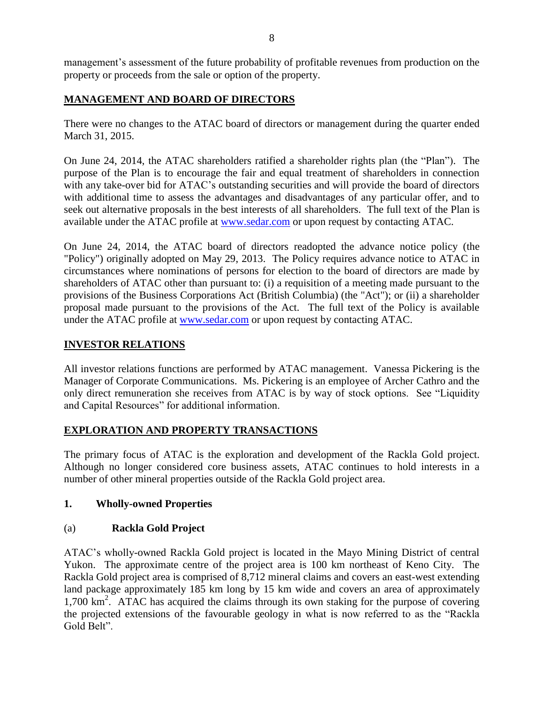management's assessment of the future probability of profitable revenues from production on the property or proceeds from the sale or option of the property.

## **MANAGEMENT AND BOARD OF DIRECTORS**

There were no changes to the ATAC board of directors or management during the quarter ended March 31, 2015.

On June 24, 2014, the ATAC shareholders ratified a shareholder rights plan (the "Plan"). The purpose of the Plan is to encourage the fair and equal treatment of shareholders in connection with any take-over bid for ATAC's outstanding securities and will provide the board of directors with additional time to assess the advantages and disadvantages of any particular offer, and to seek out alternative proposals in the best interests of all shareholders. The full text of the Plan is available under the ATAC profile at [www.sedar.com](http://www.sedar.com/) or upon request by contacting ATAC.

On June 24, 2014, the ATAC board of directors readopted the advance notice policy (the "Policy") originally adopted on May 29, 2013. The Policy requires advance notice to ATAC in circumstances where nominations of persons for election to the board of directors are made by shareholders of ATAC other than pursuant to: (i) a requisition of a meeting made pursuant to the provisions of the Business Corporations Act (British Columbia) (the "Act"); or (ii) a shareholder proposal made pursuant to the provisions of the Act. The full text of the Policy is available under the ATAC profile at [www.sedar.com](http://www.sedar.com/) or upon request by contacting ATAC.

## **INVESTOR RELATIONS**

All investor relations functions are performed by ATAC management. Vanessa Pickering is the Manager of Corporate Communications. Ms. Pickering is an employee of Archer Cathro and the only direct remuneration she receives from ATAC is by way of stock options. See "Liquidity and Capital Resources" for additional information.

## **EXPLORATION AND PROPERTY TRANSACTIONS**

The primary focus of ATAC is the exploration and development of the Rackla Gold project. Although no longer considered core business assets, ATAC continues to hold interests in a number of other mineral properties outside of the Rackla Gold project area.

## **1. Wholly-owned Properties**

## (a) **Rackla Gold Project**

ATAC's wholly-owned Rackla Gold project is located in the Mayo Mining District of central Yukon. The approximate centre of the project area is 100 km northeast of Keno City. The Rackla Gold project area is comprised of 8,712 mineral claims and covers an east-west extending land package approximately 185 km long by 15 km wide and covers an area of approximately 1,700 km<sup>2</sup>. ATAC has acquired the claims through its own staking for the purpose of covering the projected extensions of the favourable geology in what is now referred to as the "Rackla Gold Belt".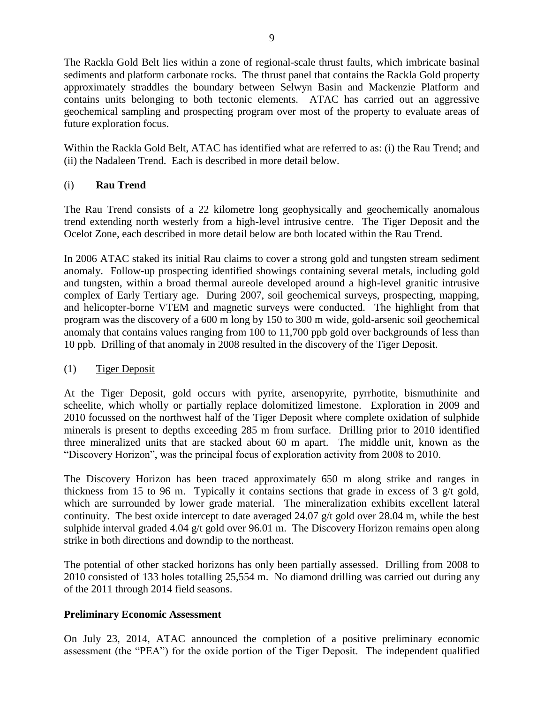The Rackla Gold Belt lies within a zone of regional-scale thrust faults, which imbricate basinal sediments and platform carbonate rocks. The thrust panel that contains the Rackla Gold property approximately straddles the boundary between Selwyn Basin and Mackenzie Platform and contains units belonging to both tectonic elements. ATAC has carried out an aggressive geochemical sampling and prospecting program over most of the property to evaluate areas of future exploration focus.

Within the Rackla Gold Belt, ATAC has identified what are referred to as: (i) the Rau Trend; and (ii) the Nadaleen Trend. Each is described in more detail below.

## (i) **Rau Trend**

The Rau Trend consists of a 22 kilometre long geophysically and geochemically anomalous trend extending north westerly from a high-level intrusive centre. The Tiger Deposit and the Ocelot Zone, each described in more detail below are both located within the Rau Trend.

In 2006 ATAC staked its initial Rau claims to cover a strong gold and tungsten stream sediment anomaly. Follow-up prospecting identified showings containing several metals, including gold and tungsten, within a broad thermal aureole developed around a high-level granitic intrusive complex of Early Tertiary age. During 2007, soil geochemical surveys, prospecting, mapping, and helicopter-borne VTEM and magnetic surveys were conducted. The highlight from that program was the discovery of a 600 m long by 150 to 300 m wide, gold-arsenic soil geochemical anomaly that contains values ranging from 100 to 11,700 ppb gold over backgrounds of less than 10 ppb. Drilling of that anomaly in 2008 resulted in the discovery of the Tiger Deposit.

## (1) Tiger Deposit

At the Tiger Deposit, gold occurs with pyrite, arsenopyrite, pyrrhotite, bismuthinite and scheelite, which wholly or partially replace dolomitized limestone. Exploration in 2009 and 2010 focussed on the northwest half of the Tiger Deposit where complete oxidation of sulphide minerals is present to depths exceeding 285 m from surface. Drilling prior to 2010 identified three mineralized units that are stacked about 60 m apart. The middle unit, known as the "Discovery Horizon", was the principal focus of exploration activity from 2008 to 2010.

The Discovery Horizon has been traced approximately 650 m along strike and ranges in thickness from 15 to 96 m. Typically it contains sections that grade in excess of 3 g/t gold, which are surrounded by lower grade material. The mineralization exhibits excellent lateral continuity. The best oxide intercept to date averaged 24.07 g/t gold over 28.04 m, while the best sulphide interval graded 4.04 g/t gold over 96.01 m. The Discovery Horizon remains open along strike in both directions and downdip to the northeast.

The potential of other stacked horizons has only been partially assessed. Drilling from 2008 to 2010 consisted of 133 holes totalling 25,554 m. No diamond drilling was carried out during any of the 2011 through 2014 field seasons.

## **Preliminary Economic Assessment**

On July 23, 2014, ATAC announced the completion of a positive preliminary economic assessment (the "PEA") for the oxide portion of the Tiger Deposit. The independent qualified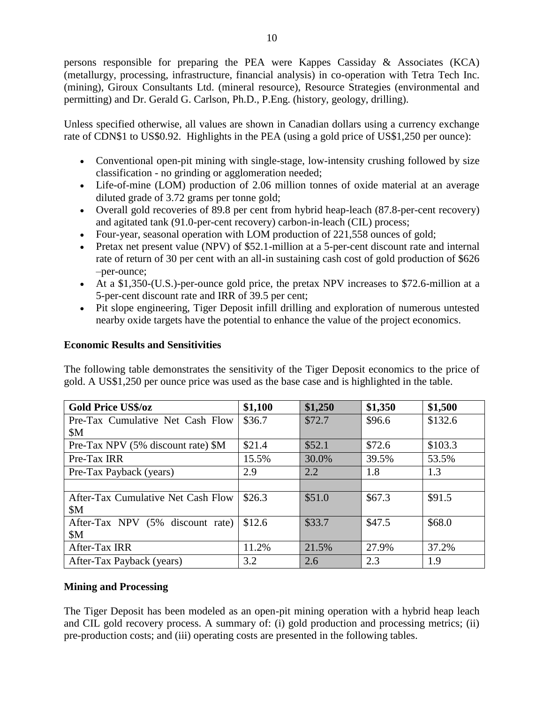persons responsible for preparing the PEA were Kappes Cassiday & Associates (KCA) (metallurgy, processing, infrastructure, financial analysis) in co-operation with Tetra Tech Inc. (mining), Giroux Consultants Ltd. (mineral resource), Resource Strategies (environmental and permitting) and Dr. Gerald G. Carlson, Ph.D., P.Eng. (history, geology, drilling).

Unless specified otherwise, all values are shown in Canadian dollars using a currency exchange rate of CDN\$1 to US\$0.92. Highlights in the PEA (using a gold price of US\$1,250 per ounce):

- Conventional open-pit mining with single-stage, low-intensity crushing followed by size classification - no grinding or agglomeration needed;
- Life-of-mine (LOM) production of 2.06 million tonnes of oxide material at an average diluted grade of 3.72 grams per tonne gold;
- Overall gold recoveries of 89.8 per cent from hybrid heap-leach (87.8-per-cent recovery) and agitated tank (91.0-per-cent recovery) carbon-in-leach (CIL) process;
- Four-year, seasonal operation with LOM production of 221,558 ounces of gold;
- Pretax net present value (NPV) of \$52.1-million at a 5-per-cent discount rate and internal rate of return of 30 per cent with an all-in sustaining cash cost of gold production of \$626 –per-ounce;
- At a \$1,350-(U.S.)-per-ounce gold price, the pretax NPV increases to \$72.6-million at a 5-per-cent discount rate and IRR of 39.5 per cent;
- Pit slope engineering, Tiger Deposit infill drilling and exploration of numerous untested nearby oxide targets have the potential to enhance the value of the project economics.

### **Economic Results and Sensitivities**

The following table demonstrates the sensitivity of the Tiger Deposit economics to the price of gold. A US\$1,250 per ounce price was used as the base case and is highlighted in the table.

| <b>Gold Price US\$/oz</b>          | \$1,100 | \$1,250 | \$1,350 | \$1,500 |
|------------------------------------|---------|---------|---------|---------|
| Pre-Tax Cumulative Net Cash Flow   | \$36.7  | \$72.7  | \$96.6  | \$132.6 |
| \$M                                |         |         |         |         |
| Pre-Tax NPV (5% discount rate) \$M | \$21.4  | \$52.1  | \$72.6  | \$103.3 |
| Pre-Tax IRR                        | 15.5%   | 30.0%   | 39.5%   | 53.5%   |
| Pre-Tax Payback (years)            | 2.9     | 2.2     | 1.8     | 1.3     |
|                                    |         |         |         |         |
| After-Tax Cumulative Net Cash Flow | \$26.3  | \$51.0  | \$67.3  | \$91.5  |
| \$M\$                              |         |         |         |         |
| After-Tax NPV (5% discount rate)   | \$12.6  | \$33.7  | \$47.5  | \$68.0  |
| \$M                                |         |         |         |         |
| After-Tax IRR                      | 11.2%   | 21.5%   | 27.9%   | 37.2%   |
| After-Tax Payback (years)          | 3.2     | 2.6     | 2.3     | 1.9     |

## **Mining and Processing**

The Tiger Deposit has been modeled as an open-pit mining operation with a hybrid heap leach and CIL gold recovery process. A summary of: (i) gold production and processing metrics; (ii) pre-production costs; and (iii) operating costs are presented in the following tables.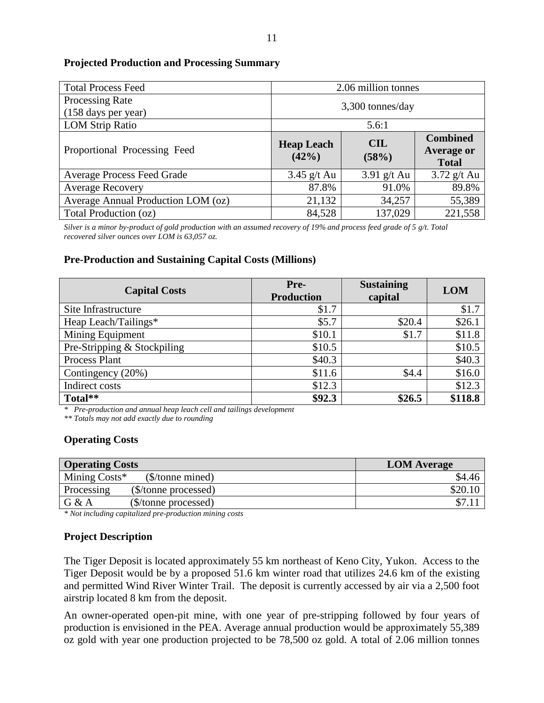#### **Projected Production and Processing Summary**

| <b>Total Process Feed</b>                     | 2.06 million tonnes           |                     |                                                      |  |  |
|-----------------------------------------------|-------------------------------|---------------------|------------------------------------------------------|--|--|
| <b>Processing Rate</b><br>(158 days per year) | $3,300$ tonnes/day            |                     |                                                      |  |  |
| <b>LOM Strip Ratio</b>                        | 5.6:1                         |                     |                                                      |  |  |
| Proportional Processing Feed                  | <b>Heap Leach</b><br>$(42\%)$ | <b>CIL</b><br>(58%) | <b>Combined</b><br><b>Average or</b><br><b>Total</b> |  |  |
| <b>Average Process Feed Grade</b>             | $3.45$ g/t Au                 | $3.91$ g/t Au       | $3.72$ g/t Au                                        |  |  |
| <b>Average Recovery</b>                       | 87.8%                         | 91.0%               | 89.8%                                                |  |  |
| Average Annual Production LOM (oz)            | 21,132                        | 34,257              | 55,389                                               |  |  |
| Total Production (oz)                         | 84,528                        | 137,029             | 221,558                                              |  |  |

*Silver is a minor by-product of gold production with an assumed recovery of 19% and process feed grade of 5 g/t. Total recovered silver ounces over LOM is 63,057 oz.*

#### **Pre-Production and Sustaining Capital Costs (Millions)**

| <b>Capital Costs</b>        | Pre-<br><b>Production</b> | <b>Sustaining</b><br>capital | <b>LOM</b> |
|-----------------------------|---------------------------|------------------------------|------------|
| Site Infrastructure         | \$1.7                     |                              | \$1.7      |
| Heap Leach/Tailings*        | \$5.7                     | \$20.4                       | \$26.1     |
| Mining Equipment            | \$10.1                    | \$1.7                        | \$11.8     |
| Pre-Stripping & Stockpiling | \$10.5                    |                              | \$10.5     |
| Process Plant               | \$40.3                    |                              | \$40.3     |
| Contingency (20%)           | \$11.6                    | \$4.4                        | \$16.0     |
| Indirect costs              | \$12.3                    |                              | \$12.3     |
| Total**                     | \$92.3                    | \$26.5                       | \$118.8    |

*\* Pre-production and annual heap leach cell and tailings development*

*\*\* Totals may not add exactly due to rounding*

#### **Operating Costs**

| <b>Operating Costs</b>             | <b>LOM</b> Average |
|------------------------------------|--------------------|
| Mining Costs*<br>(\$/tonne mined)  | \$4.46             |
| (\$/tonne processed)<br>Processing | \$20.10            |
| G & A<br>(\$/tonne processed)      |                    |

*\* Not including capitalized pre-production mining costs*

## **Project Description**

The Tiger Deposit is located approximately 55 km northeast of Keno City, Yukon. Access to the Tiger Deposit would be by a proposed 51.6 km winter road that utilizes 24.6 km of the existing and permitted Wind River Winter Trail. The deposit is currently accessed by air via a 2,500 foot airstrip located 8 km from the deposit.

An owner-operated open-pit mine, with one year of pre-stripping followed by four years of production is envisioned in the PEA. Average annual production would be approximately 55,389 oz gold with year one production projected to be 78,500 oz gold. A total of 2.06 million tonnes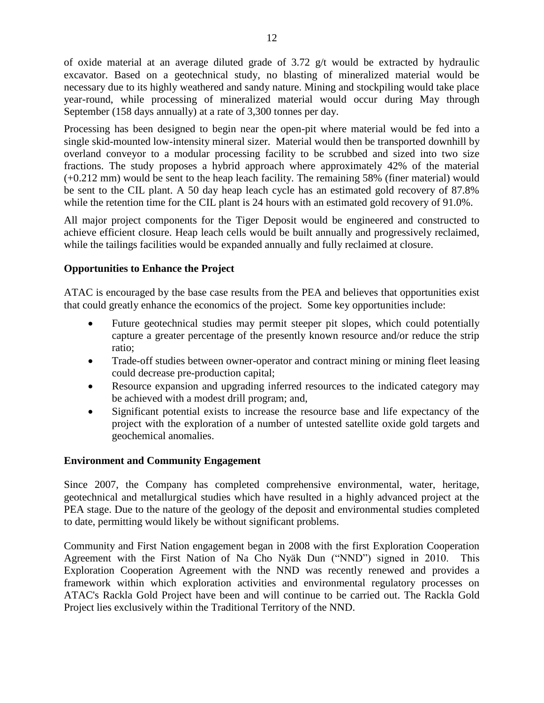of oxide material at an average diluted grade of 3.72 g/t would be extracted by hydraulic excavator. Based on a geotechnical study, no blasting of mineralized material would be necessary due to its highly weathered and sandy nature. Mining and stockpiling would take place year-round, while processing of mineralized material would occur during May through September (158 days annually) at a rate of 3,300 tonnes per day.

Processing has been designed to begin near the open-pit where material would be fed into a single skid-mounted low-intensity mineral sizer. Material would then be transported downhill by overland conveyor to a modular processing facility to be scrubbed and sized into two size fractions. The study proposes a hybrid approach where approximately 42% of the material (+0.212 mm) would be sent to the heap leach facility. The remaining 58% (finer material) would be sent to the CIL plant. A 50 day heap leach cycle has an estimated gold recovery of 87.8% while the retention time for the CIL plant is 24 hours with an estimated gold recovery of 91.0%.

All major project components for the Tiger Deposit would be engineered and constructed to achieve efficient closure. Heap leach cells would be built annually and progressively reclaimed, while the tailings facilities would be expanded annually and fully reclaimed at closure.

## **Opportunities to Enhance the Project**

ATAC is encouraged by the base case results from the PEA and believes that opportunities exist that could greatly enhance the economics of the project. Some key opportunities include:

- Future geotechnical studies may permit steeper pit slopes, which could potentially capture a greater percentage of the presently known resource and/or reduce the strip ratio;
- Trade-off studies between owner-operator and contract mining or mining fleet leasing could decrease pre-production capital;
- Resource expansion and upgrading inferred resources to the indicated category may be achieved with a modest drill program; and,
- Significant potential exists to increase the resource base and life expectancy of the project with the exploration of a number of untested satellite oxide gold targets and geochemical anomalies.

#### **Environment and Community Engagement**

Since 2007, the Company has completed comprehensive environmental, water, heritage, geotechnical and metallurgical studies which have resulted in a highly advanced project at the PEA stage. Due to the nature of the geology of the deposit and environmental studies completed to date, permitting would likely be without significant problems.

Community and First Nation engagement began in 2008 with the first Exploration Cooperation Agreement with the First Nation of Na Cho Nyäk Dun ("NND") signed in 2010. This Exploration Cooperation Agreement with the NND was recently renewed and provides a framework within which exploration activities and environmental regulatory processes on ATAC's Rackla Gold Project have been and will continue to be carried out. The Rackla Gold Project lies exclusively within the Traditional Territory of the NND.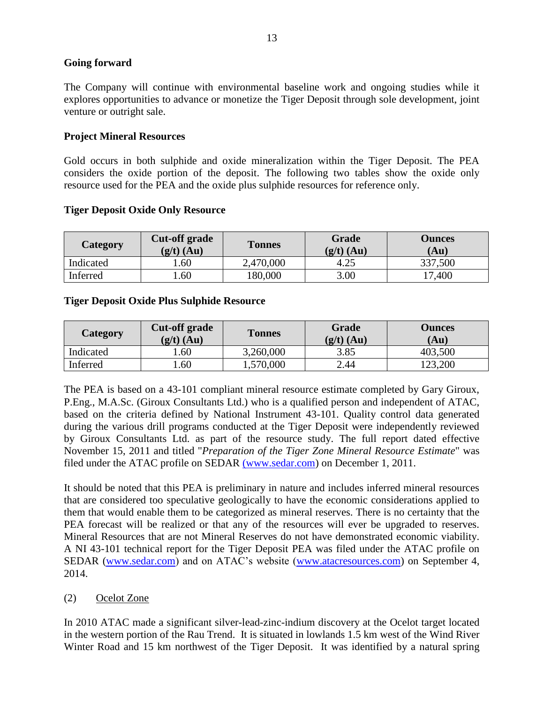### **Going forward**

The Company will continue with environmental baseline work and ongoing studies while it explores opportunities to advance or monetize the Tiger Deposit through sole development, joint venture or outright sale.

### **Project Mineral Resources**

Gold occurs in both sulphide and oxide mineralization within the Tiger Deposit. The PEA considers the oxide portion of the deposit. The following two tables show the oxide only resource used for the PEA and the oxide plus sulphide resources for reference only.

| Category  | <b>Cut-off grade</b><br>$(g/t)$ (Au) | <b>Tonnes</b> | Grade<br>$(g/t)$ (Au) | <b>Ounces</b><br>(Au) |
|-----------|--------------------------------------|---------------|-----------------------|-----------------------|
| Indicated | . 60                                 | 2,470,000     | 4.25                  | 337,500               |
| Inferred  | . .60                                | 180,000       | 3.00                  | 17,400                |

#### **Tiger Deposit Oxide Only Resource**

### **Tiger Deposit Oxide Plus Sulphide Resource**

| Category  | <b>Cut-off grade</b><br>$(g/t)$ (Au) | <b>Tonnes</b> | Grade<br>$(g/t)$ (Au) | <b>Ounces</b><br>(Au) |
|-----------|--------------------------------------|---------------|-----------------------|-----------------------|
| Indicated | .60                                  | 3,260,000     | 3.85                  | 403,500               |
| Inferred  | .60                                  | 1,570,000     | 2.44                  | 123,200               |

The PEA is based on a 43-101 compliant mineral resource estimate completed by Gary Giroux, P.Eng., M.A.Sc. (Giroux Consultants Ltd.) who is a qualified person and independent of ATAC, based on the criteria defined by National Instrument 43-101. Quality control data generated during the various drill programs conducted at the Tiger Deposit were independently reviewed by Giroux Consultants Ltd. as part of the resource study. The full report dated effective November 15, 2011 and titled "*Preparation of the Tiger Zone Mineral Resource Estimate*" was filed under the ATAC profile on SEDAR [\(www.sedar.com\)](http://(www.sedar.com/) on December 1, 2011.

It should be noted that this PEA is preliminary in nature and includes inferred mineral resources that are considered too speculative geologically to have the economic considerations applied to them that would enable them to be categorized as mineral reserves. There is no certainty that the PEA forecast will be realized or that any of the resources will ever be upgraded to reserves. Mineral Resources that are not Mineral Reserves do not have demonstrated economic viability. A NI 43-101 technical report for the Tiger Deposit PEA was filed under the ATAC profile on SEDAR [\(www.sedar.com\)](http://www.sedar.com/) and on ATAC's website [\(www.atacresources.com\)](http://www.atacresources.com/) on September 4, 2014.

## (2) Ocelot Zone

In 2010 ATAC made a significant silver-lead-zinc-indium discovery at the Ocelot target located in the western portion of the Rau Trend. It is situated in lowlands 1.5 km west of the Wind River Winter Road and 15 km northwest of the Tiger Deposit. It was identified by a natural spring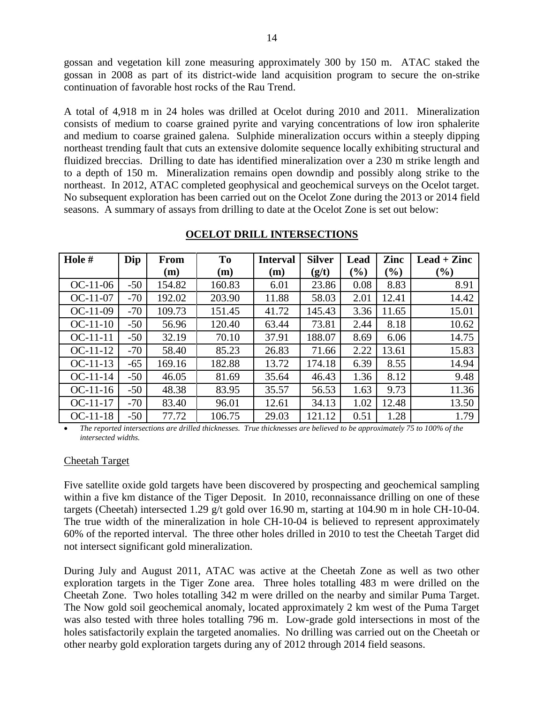gossan and vegetation kill zone measuring approximately 300 by 150 m. ATAC staked the gossan in 2008 as part of its district-wide land acquisition program to secure the on-strike continuation of favorable host rocks of the Rau Trend.

A total of 4,918 m in 24 holes was drilled at Ocelot during 2010 and 2011. Mineralization consists of medium to coarse grained pyrite and varying concentrations of low iron sphalerite and medium to coarse grained galena. Sulphide mineralization occurs within a steeply dipping northeast trending fault that cuts an extensive dolomite sequence locally exhibiting structural and fluidized breccias. Drilling to date has identified mineralization over a 230 m strike length and to a depth of 150 m. Mineralization remains open downdip and possibly along strike to the northeast. In 2012, ATAC completed geophysical and geochemical surveys on the Ocelot target. No subsequent exploration has been carried out on the Ocelot Zone during the 2013 or 2014 field seasons. A summary of assays from drilling to date at the Ocelot Zone is set out below:

| Hole #     | Dip   | <b>From</b> | To     | <b>Interval</b> | <b>Silver</b> | Lead   | Zinc   | $\text{Lead} + \text{Zinc}$ |
|------------|-------|-------------|--------|-----------------|---------------|--------|--------|-----------------------------|
|            |       | (m)         | (m)    | (m)             | (g/t)         | $(\%)$ | $(\%)$ | $(\%)$                      |
| $OC-11-06$ | $-50$ | 154.82      | 160.83 | 6.01            | 23.86         | 0.08   | 8.83   | 8.91                        |
| $OC-11-07$ | $-70$ | 192.02      | 203.90 | 11.88           | 58.03         | 2.01   | 12.41  | 14.42                       |
| $OC-11-09$ | $-70$ | 109.73      | 151.45 | 41.72           | 145.43        | 3.36   | 11.65  | 15.01                       |
| $OC-11-10$ | $-50$ | 56.96       | 120.40 | 63.44           | 73.81         | 2.44   | 8.18   | 10.62                       |
| $OC-11-11$ | $-50$ | 32.19       | 70.10  | 37.91           | 188.07        | 8.69   | 6.06   | 14.75                       |
| $OC-11-12$ | $-70$ | 58.40       | 85.23  | 26.83           | 71.66         | 2.22   | 13.61  | 15.83                       |
| $OC-11-13$ | $-65$ | 169.16      | 182.88 | 13.72           | 174.18        | 6.39   | 8.55   | 14.94                       |
| $OC-11-14$ | $-50$ | 46.05       | 81.69  | 35.64           | 46.43         | 1.36   | 8.12   | 9.48                        |
| $OC-11-16$ | $-50$ | 48.38       | 83.95  | 35.57           | 56.53         | 1.63   | 9.73   | 11.36                       |
| $OC-11-17$ | $-70$ | 83.40       | 96.01  | 12.61           | 34.13         | 1.02   | 12.48  | 13.50                       |
| $OC-11-18$ | $-50$ | 77.72       | 106.75 | 29.03           | 121.12        | 0.51   | 1.28   | 1.79                        |

#### **OCELOT DRILL INTERSECTIONS**

 *The reported intersections are drilled thicknesses. True thicknesses are believed to be approximately 75 to 100% of the intersected widths.*

#### Cheetah Target

Five satellite oxide gold targets have been discovered by prospecting and geochemical sampling within a five km distance of the Tiger Deposit. In 2010, reconnaissance drilling on one of these targets (Cheetah) intersected 1.29 g/t gold over 16.90 m, starting at 104.90 m in hole CH-10-04. The true width of the mineralization in hole CH-10-04 is believed to represent approximately 60% of the reported interval. The three other holes drilled in 2010 to test the Cheetah Target did not intersect significant gold mineralization.

During July and August 2011, ATAC was active at the Cheetah Zone as well as two other exploration targets in the Tiger Zone area. Three holes totalling 483 m were drilled on the Cheetah Zone. Two holes totalling 342 m were drilled on the nearby and similar Puma Target. The Now gold soil geochemical anomaly, located approximately 2 km west of the Puma Target was also tested with three holes totalling 796 m. Low-grade gold intersections in most of the holes satisfactorily explain the targeted anomalies. No drilling was carried out on the Cheetah or other nearby gold exploration targets during any of 2012 through 2014 field seasons.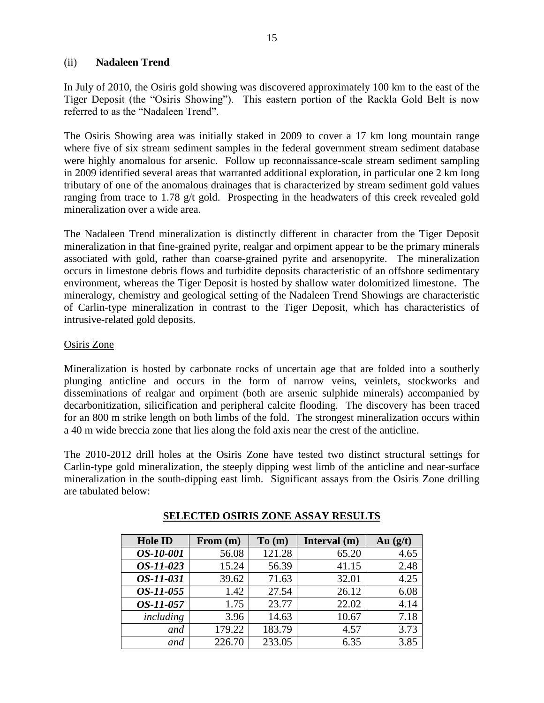#### (ii) **Nadaleen Trend**

In July of 2010, the Osiris gold showing was discovered approximately 100 km to the east of the Tiger Deposit (the "Osiris Showing"). This eastern portion of the Rackla Gold Belt is now referred to as the "Nadaleen Trend".

The Osiris Showing area was initially staked in 2009 to cover a 17 km long mountain range where five of six stream sediment samples in the federal government stream sediment database were highly anomalous for arsenic. Follow up reconnaissance-scale stream sediment sampling in 2009 identified several areas that warranted additional exploration, in particular one 2 km long tributary of one of the anomalous drainages that is characterized by stream sediment gold values ranging from trace to 1.78 g/t gold. Prospecting in the headwaters of this creek revealed gold mineralization over a wide area.

The Nadaleen Trend mineralization is distinctly different in character from the Tiger Deposit mineralization in that fine-grained pyrite, realgar and orpiment appear to be the primary minerals associated with gold, rather than coarse-grained pyrite and arsenopyrite. The mineralization occurs in limestone debris flows and turbidite deposits characteristic of an offshore sedimentary environment, whereas the Tiger Deposit is hosted by shallow water dolomitized limestone. The mineralogy, chemistry and geological setting of the Nadaleen Trend Showings are characteristic of Carlin-type mineralization in contrast to the Tiger Deposit, which has characteristics of intrusive-related gold deposits.

### Osiris Zone

Mineralization is hosted by carbonate rocks of uncertain age that are folded into a southerly plunging anticline and occurs in the form of narrow veins, veinlets, stockworks and disseminations of realgar and orpiment (both are arsenic sulphide minerals) accompanied by decarbonitization, silicification and peripheral calcite flooding. The discovery has been traced for an 800 m strike length on both limbs of the fold. The strongest mineralization occurs within a 40 m wide breccia zone that lies along the fold axis near the crest of the anticline.

The 2010-2012 drill holes at the Osiris Zone have tested two distinct structural settings for Carlin-type gold mineralization, the steeply dipping west limb of the anticline and near-surface mineralization in the south-dipping east limb. Significant assays from the Osiris Zone drilling are tabulated below:

| <b>Hole ID</b>   | From (m) | To(m)  | Interval (m) | Au $(g/t)$ |
|------------------|----------|--------|--------------|------------|
| OS-10-001        | 56.08    | 121.28 | 65.20        | 4.65       |
| OS-11-023        | 15.24    | 56.39  | 41.15        | 2.48       |
| OS-11-031        | 39.62    | 71.63  | 32.01        | 4.25       |
| <i>OS-11-055</i> | 1.42     | 27.54  | 26.12        | 6.08       |
| OS-11-057        | 1.75     | 23.77  | 22.02        | 4.14       |
| including        | 3.96     | 14.63  | 10.67        | 7.18       |
| and              | 179.22   | 183.79 | 4.57         | 3.73       |
| and              | 226.70   | 233.05 | 6.35         | 3.85       |

#### **SELECTED OSIRIS ZONE ASSAY RESULTS**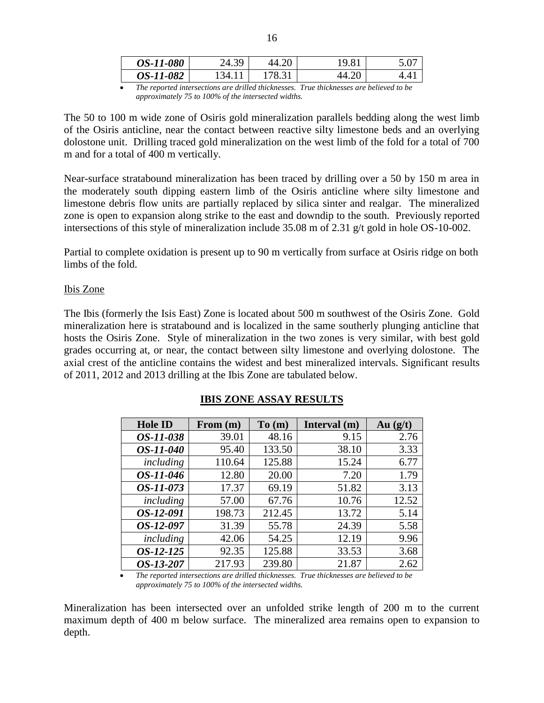| <i>OS-11-080</i> | ≺u<br>∠−⊤. | u | $\Omega$ |
|------------------|------------|---|----------|
| <i>OS-11-082</i> | 34         |   |          |

*The reported intersections are drilled thicknesses. True thicknesses are believed to be approximately 75 to 100% of the intersected widths.*

The 50 to 100 m wide zone of Osiris gold mineralization parallels bedding along the west limb of the Osiris anticline, near the contact between reactive silty limestone beds and an overlying dolostone unit. Drilling traced gold mineralization on the west limb of the fold for a total of 700 m and for a total of 400 m vertically.

Near-surface stratabound mineralization has been traced by drilling over a 50 by 150 m area in the moderately south dipping eastern limb of the Osiris anticline where silty limestone and limestone debris flow units are partially replaced by silica sinter and realgar. The mineralized zone is open to expansion along strike to the east and downdip to the south. Previously reported intersections of this style of mineralization include 35.08 m of 2.31 g/t gold in hole OS-10-002.

Partial to complete oxidation is present up to 90 m vertically from surface at Osiris ridge on both limbs of the fold.

#### Ibis Zone

The Ibis (formerly the Isis East) Zone is located about 500 m southwest of the Osiris Zone. Gold mineralization here is stratabound and is localized in the same southerly plunging anticline that hosts the Osiris Zone. Style of mineralization in the two zones is very similar, with best gold grades occurring at, or near, the contact between silty limestone and overlying dolostone. The axial crest of the anticline contains the widest and best mineralized intervals. Significant results of 2011, 2012 and 2013 drilling at the Ibis Zone are tabulated below.

| <b>Hole ID</b>   | From $(m)$ | To(m)  | Interval (m) | Au $(g/t)$ |
|------------------|------------|--------|--------------|------------|
| <i>OS-11-038</i> | 39.01      | 48.16  | 9.15         | 2.76       |
| OS-11-040        | 95.40      | 133.50 | 38.10        | 3.33       |
| including        | 110.64     | 125.88 | 15.24        | 6.77       |
| OS-11-046        | 12.80      | 20.00  | 7.20         | 1.79       |
| <i>OS-11-073</i> | 17.37      | 69.19  | 51.82        | 3.13       |
| including        | 57.00      | 67.76  | 10.76        | 12.52      |
| OS-12-091        | 198.73     | 212.45 | 13.72        | 5.14       |
| OS-12-097        | 31.39      | 55.78  | 24.39        | 5.58       |
| including        | 42.06      | 54.25  | 12.19        | 9.96       |
| OS-12-125        | 92.35      | 125.88 | 33.53        | 3.68       |
| OS-13-207        | 217.93     | 239.80 | 21.87        | 2.62       |

#### **IBIS ZONE ASSAY RESULTS**

 *The reported intersections are drilled thicknesses. True thicknesses are believed to be approximately 75 to 100% of the intersected widths.*

Mineralization has been intersected over an unfolded strike length of 200 m to the current maximum depth of 400 m below surface. The mineralized area remains open to expansion to depth.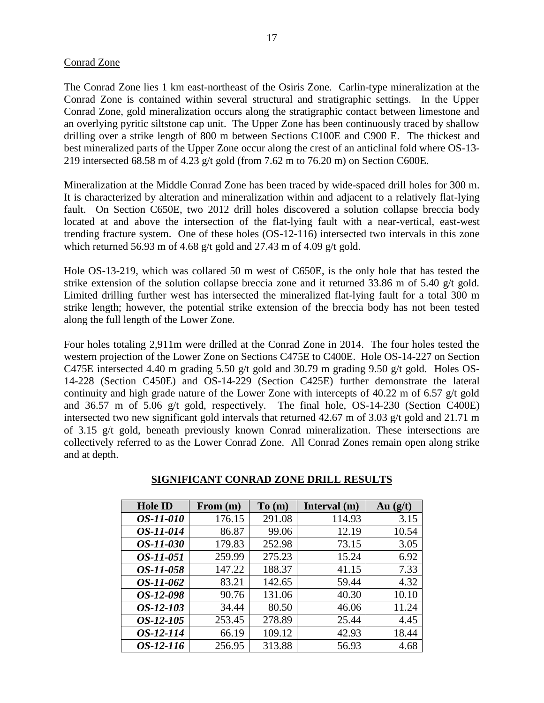#### Conrad Zone

The Conrad Zone lies 1 km east-northeast of the Osiris Zone. Carlin-type mineralization at the Conrad Zone is contained within several structural and stratigraphic settings. In the Upper Conrad Zone, gold mineralization occurs along the stratigraphic contact between limestone and an overlying pyritic siltstone cap unit. The Upper Zone has been continuously traced by shallow drilling over a strike length of 800 m between Sections C100E and C900 E. The thickest and best mineralized parts of the Upper Zone occur along the crest of an anticlinal fold where OS-13- 219 intersected 68.58 m of 4.23 g/t gold (from 7.62 m to 76.20 m) on Section C600E.

Mineralization at the Middle Conrad Zone has been traced by wide-spaced drill holes for 300 m. It is characterized by alteration and mineralization within and adjacent to a relatively flat-lying fault. On Section C650E, two 2012 drill holes discovered a solution collapse breccia body located at and above the intersection of the flat-lying fault with a near-vertical, east-west trending fracture system. One of these holes (OS-12-116) intersected two intervals in this zone which returned 56.93 m of 4.68 g/t gold and 27.43 m of 4.09 g/t gold.

Hole OS-13-219, which was collared 50 m west of C650E, is the only hole that has tested the strike extension of the solution collapse breccia zone and it returned 33.86 m of 5.40 g/t gold. Limited drilling further west has intersected the mineralized flat-lying fault for a total 300 m strike length; however, the potential strike extension of the breccia body has not been tested along the full length of the Lower Zone.

Four holes totaling 2,911m were drilled at the Conrad Zone in 2014. The four holes tested the western projection of the Lower Zone on Sections C475E to C400E. Hole OS-14-227 on Section C475E intersected 4.40 m grading 5.50 g/t gold and 30.79 m grading 9.50 g/t gold. Holes OS-14-228 (Section C450E) and OS-14-229 (Section C425E) further demonstrate the lateral continuity and high grade nature of the Lower Zone with intercepts of 40.22 m of 6.57 g/t gold and 36.57 m of 5.06 g/t gold, respectively. The final hole, OS-14-230 (Section C400E) intersected two new significant gold intervals that returned 42.67 m of 3.03 g/t gold and 21.71 m of 3.15 g/t gold, beneath previously known Conrad mineralization. These intersections are collectively referred to as the Lower Conrad Zone. All Conrad Zones remain open along strike and at depth.

| <b>Hole ID</b>   | From $(m)$ | To(m)  | Interval (m) | Au $(g/t)$ |
|------------------|------------|--------|--------------|------------|
| <i>OS-11-010</i> | 176.15     | 291.08 | 114.93       | 3.15       |
| OS-11-014        | 86.87      | 99.06  | 12.19        | 10.54      |
| <i>OS-11-030</i> | 179.83     | 252.98 | 73.15        | 3.05       |
| <i>OS-11-051</i> | 259.99     | 275.23 | 15.24        | 6.92       |
| <i>OS-11-058</i> | 147.22     | 188.37 | 41.15        | 7.33       |
| <i>OS-11-062</i> | 83.21      | 142.65 | 59.44        | 4.32       |
| OS-12-098        | 90.76      | 131.06 | 40.30        | 10.10      |
| OS-12-103        | 34.44      | 80.50  | 46.06        | 11.24      |
| OS-12-105        | 253.45     | 278.89 | 25.44        | 4.45       |
| OS-12-114        | 66.19      | 109.12 | 42.93        | 18.44      |
| <i>OS-12-116</i> | 256.95     | 313.88 | 56.93        | 4.68       |

#### **SIGNIFICANT CONRAD ZONE DRILL RESULTS**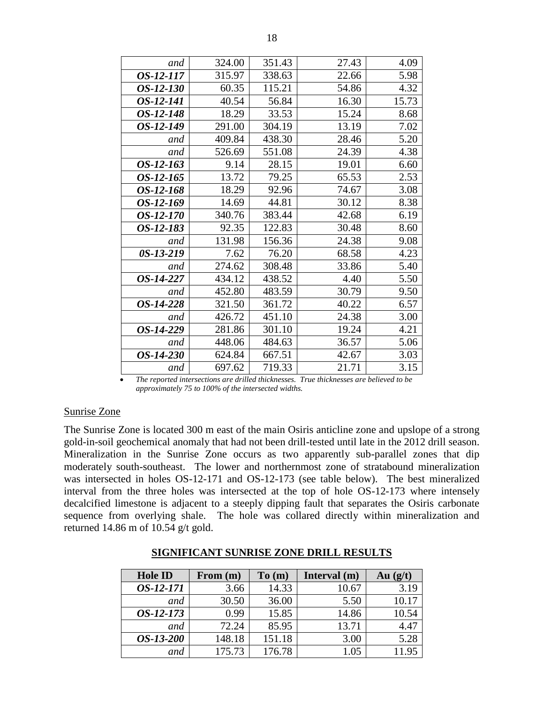| and         | 324.00 | 351.43 | 27.43 | 4.09  |
|-------------|--------|--------|-------|-------|
| OS-12-117   | 315.97 | 338.63 | 22.66 | 5.98  |
| OS-12-130   | 60.35  | 115.21 | 54.86 | 4.32  |
| OS-12-141   | 40.54  | 56.84  | 16.30 | 15.73 |
| OS-12-148   | 18.29  | 33.53  | 15.24 | 8.68  |
| OS-12-149   | 291.00 | 304.19 | 13.19 | 7.02  |
| and         | 409.84 | 438.30 | 28.46 | 5.20  |
| and         | 526.69 | 551.08 | 24.39 | 4.38  |
| OS-12-163   | 9.14   | 28.15  | 19.01 | 6.60  |
| OS-12-165   | 13.72  | 79.25  | 65.53 | 2.53  |
| OS-12-168   | 18.29  | 92.96  | 74.67 | 3.08  |
| OS-12-169   | 14.69  | 44.81  | 30.12 | 8.38  |
| OS-12-170   | 340.76 | 383.44 | 42.68 | 6.19  |
| OS-12-183   | 92.35  | 122.83 | 30.48 | 8.60  |
| and         | 131.98 | 156.36 | 24.38 | 9.08  |
| $0S-13-219$ | 7.62   | 76.20  | 68.58 | 4.23  |
| and         | 274.62 | 308.48 | 33.86 | 5.40  |
| OS-14-227   | 434.12 | 438.52 | 4.40  | 5.50  |
| and         | 452.80 | 483.59 | 30.79 | 9.50  |
| OS-14-228   | 321.50 | 361.72 | 40.22 | 6.57  |
| and         | 426.72 | 451.10 | 24.38 | 3.00  |
| OS-14-229   | 281.86 | 301.10 | 19.24 | 4.21  |
| and         | 448.06 | 484.63 | 36.57 | 5.06  |
| OS-14-230   | 624.84 | 667.51 | 42.67 | 3.03  |
| and         | 697.62 | 719.33 | 21.71 | 3.15  |

 *The reported intersections are drilled thicknesses. True thicknesses are believed to be approximately 75 to 100% of the intersected widths.*

#### Sunrise Zone

The Sunrise Zone is located 300 m east of the main Osiris anticline zone and upslope of a strong gold-in-soil geochemical anomaly that had not been drill-tested until late in the 2012 drill season. Mineralization in the Sunrise Zone occurs as two apparently sub-parallel zones that dip moderately south-southeast. The lower and northernmost zone of stratabound mineralization was intersected in holes OS-12-171 and OS-12-173 (see table below). The best mineralized interval from the three holes was intersected at the top of hole OS-12-173 where intensely decalcified limestone is adjacent to a steeply dipping fault that separates the Osiris carbonate sequence from overlying shale. The hole was collared directly within mineralization and returned 14.86 m of 10.54 g/t gold.

| <b>Hole ID</b>   | From (m) | To(m)  | Interval (m) | Au $(g/t)$ |
|------------------|----------|--------|--------------|------------|
| OS-12-171        | 3.66     | 14.33  | 10.67        | 3.19       |
| and              | 30.50    | 36.00  | 5.50         | 10.17      |
| $OS-12-173$      | 0.99     | 15.85  | 14.86        | 10.54      |
| and              | 72.24    | 85.95  | 13.71        | 4.47       |
| <i>OS-13-200</i> | 148.18   | 151.18 | 3.00         | 5.28       |
| and              | 175.73   | 176.78 | 1.05         | 11.95      |

#### **SIGNIFICANT SUNRISE ZONE DRILL RESULTS**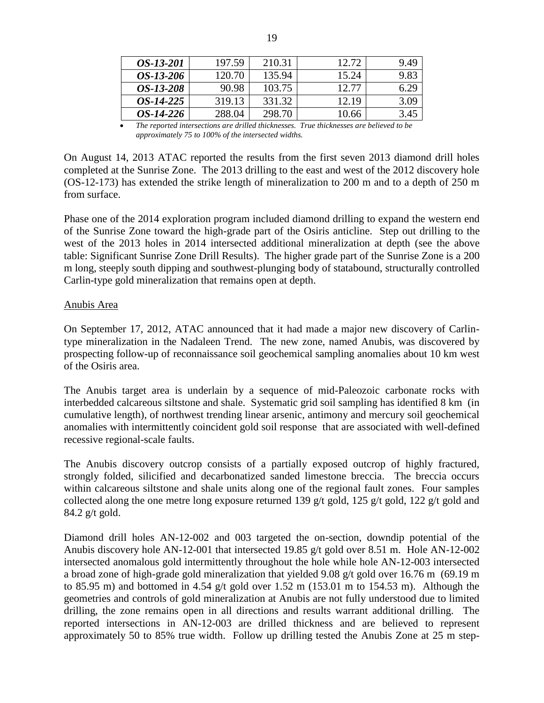| OS-13-201        | 197.59 | 210.31 | 12.72 | 9.49 |
|------------------|--------|--------|-------|------|
| <i>OS-13-206</i> | 120.70 | 135.94 | 15.24 | 9.83 |
| <i>OS-13-208</i> | 90.98  | 103.75 | 12.77 | 6.29 |
| <i>OS-14-225</i> | 319.13 | 331.32 | 12.19 | 3.09 |
| <i>OS-14-226</i> | 288.04 | 298.70 | 10.66 | 3.45 |

 *The reported intersections are drilled thicknesses. True thicknesses are believed to be approximately 75 to 100% of the intersected widths.*

On August 14, 2013 ATAC reported the results from the first seven 2013 diamond drill holes completed at the Sunrise Zone. The 2013 drilling to the east and west of the 2012 discovery hole (OS-12-173) has extended the strike length of mineralization to 200 m and to a depth of 250 m from surface.

Phase one of the 2014 exploration program included diamond drilling to expand the western end of the Sunrise Zone toward the high-grade part of the Osiris anticline. Step out drilling to the west of the 2013 holes in 2014 intersected additional mineralization at depth (see the above table: Significant Sunrise Zone Drill Results). The higher grade part of the Sunrise Zone is a 200 m long, steeply south dipping and southwest-plunging body of statabound, structurally controlled Carlin-type gold mineralization that remains open at depth.

#### Anubis Area

On September 17, 2012, ATAC announced that it had made a major new discovery of Carlintype mineralization in the Nadaleen Trend. The new zone, named Anubis, was discovered by prospecting follow-up of reconnaissance soil geochemical sampling anomalies about 10 km west of the Osiris area.

The Anubis target area is underlain by a sequence of mid-Paleozoic carbonate rocks with interbedded calcareous siltstone and shale. Systematic grid soil sampling has identified 8 km (in cumulative length), of northwest trending linear arsenic, antimony and mercury soil geochemical anomalies with intermittently coincident gold soil response that are associated with well-defined recessive regional-scale faults.

The Anubis discovery outcrop consists of a partially exposed outcrop of highly fractured, strongly folded, silicified and decarbonatized sanded limestone breccia. The breccia occurs within calcareous siltstone and shale units along one of the regional fault zones. Four samples collected along the one metre long exposure returned 139 g/t gold, 125 g/t gold, 122 g/t gold and 84.2 g/t gold.

Diamond drill holes AN-12-002 and 003 targeted the on-section, downdip potential of the Anubis discovery hole AN-12-001 that intersected 19.85 g/t gold over 8.51 m. Hole AN-12-002 intersected anomalous gold intermittently throughout the hole while hole AN-12-003 intersected a broad zone of high-grade gold mineralization that yielded 9.08 g/t gold over 16.76 m (69.19 m to 85.95 m) and bottomed in 4.54 g/t gold over 1.52 m (153.01 m to 154.53 m). Although the geometries and controls of gold mineralization at Anubis are not fully understood due to limited drilling, the zone remains open in all directions and results warrant additional drilling. The reported intersections in AN-12-003 are drilled thickness and are believed to represent approximately 50 to 85% true width. Follow up drilling tested the Anubis Zone at 25 m step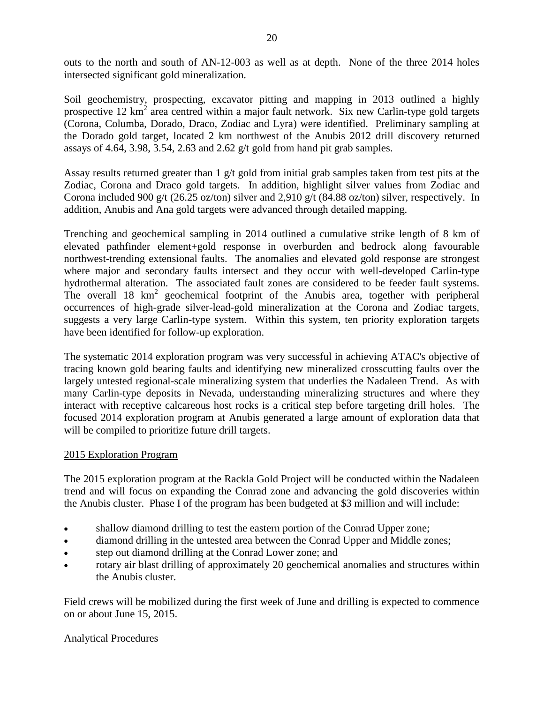outs to the north and south of AN-12-003 as well as at depth. None of the three 2014 holes intersected significant gold mineralization.

Soil geochemistry, prospecting, excavator pitting and mapping in 2013 outlined a highly prospective 12 km<sup>2</sup> area centred within a major fault network. Six new Carlin-type gold targets (Corona, Columba, Dorado, Draco, Zodiac and Lyra) were identified. Preliminary sampling at the Dorado gold target, located 2 km northwest of the Anubis 2012 drill discovery returned assays of 4.64, 3.98, 3.54, 2.63 and 2.62 g/t gold from hand pit grab samples.

Assay results returned greater than  $1 \text{ g/t}$  gold from initial grab samples taken from test pits at the Zodiac, Corona and Draco gold targets. In addition, highlight silver values from Zodiac and Corona included 900 g/t (26.25 oz/ton) silver and 2,910 g/t (84.88 oz/ton) silver, respectively. In addition, Anubis and Ana gold targets were advanced through detailed mapping.

Trenching and geochemical sampling in 2014 outlined a cumulative strike length of 8 km of elevated pathfinder element+gold response in overburden and bedrock along favourable northwest-trending extensional faults. The anomalies and elevated gold response are strongest where major and secondary faults intersect and they occur with well-developed Carlin-type hydrothermal alteration. The associated fault zones are considered to be feeder fault systems. The overall  $18 \text{ km}^2$  geochemical footprint of the Anubis area, together with peripheral occurrences of high-grade silver-lead-gold mineralization at the Corona and Zodiac targets, suggests a very large Carlin-type system. Within this system, ten priority exploration targets have been identified for follow-up exploration.

The systematic 2014 exploration program was very successful in achieving ATAC's objective of tracing known gold bearing faults and identifying new mineralized crosscutting faults over the largely untested regional-scale mineralizing system that underlies the Nadaleen Trend. As with many Carlin-type deposits in Nevada, understanding mineralizing structures and where they interact with receptive calcareous host rocks is a critical step before targeting drill holes. The focused 2014 exploration program at Anubis generated a large amount of exploration data that will be compiled to prioritize future drill targets.

#### 2015 Exploration Program

The 2015 exploration program at the Rackla Gold Project will be conducted within the Nadaleen trend and will focus on expanding the Conrad zone and advancing the gold discoveries within the Anubis cluster. Phase I of the program has been budgeted at \$3 million and will include:

- shallow diamond drilling to test the eastern portion of the Conrad Upper zone;
- diamond drilling in the untested area between the Conrad Upper and Middle zones;
- step out diamond drilling at the Conrad Lower zone; and
- rotary air blast drilling of approximately 20 geochemical anomalies and structures within the Anubis cluster.

Field crews will be mobilized during the first week of June and drilling is expected to commence on or about June 15, 2015.

## Analytical Procedures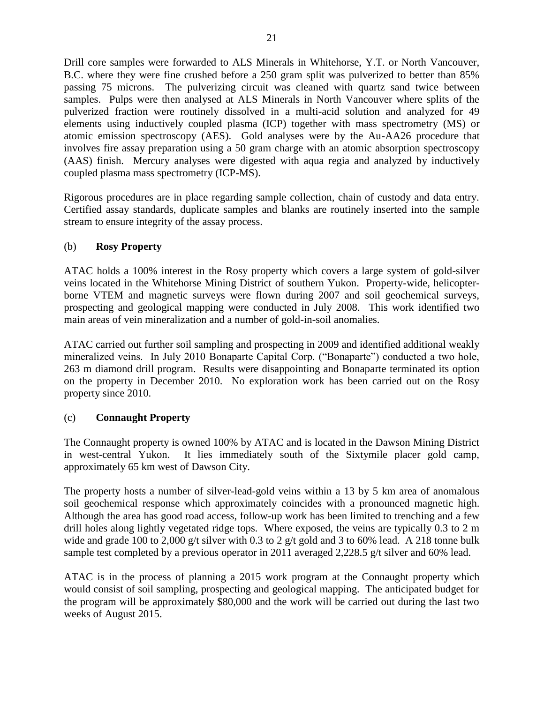Drill core samples were forwarded to ALS Minerals in Whitehorse, Y.T. or North Vancouver, B.C. where they were fine crushed before a 250 gram split was pulverized to better than 85% passing 75 microns. The pulverizing circuit was cleaned with quartz sand twice between samples. Pulps were then analysed at ALS Minerals in North Vancouver where splits of the pulverized fraction were routinely dissolved in a multi-acid solution and analyzed for 49 elements using inductively coupled plasma (ICP) together with mass spectrometry (MS) or atomic emission spectroscopy (AES). Gold analyses were by the Au-AA26 procedure that involves fire assay preparation using a 50 gram charge with an atomic absorption spectroscopy (AAS) finish. Mercury analyses were digested with aqua regia and analyzed by inductively coupled plasma mass spectrometry (ICP-MS).

Rigorous procedures are in place regarding sample collection, chain of custody and data entry. Certified assay standards, duplicate samples and blanks are routinely inserted into the sample stream to ensure integrity of the assay process.

### (b) **Rosy Property**

ATAC holds a 100% interest in the Rosy property which covers a large system of gold-silver veins located in the Whitehorse Mining District of southern Yukon. Property-wide, helicopterborne VTEM and magnetic surveys were flown during 2007 and soil geochemical surveys, prospecting and geological mapping were conducted in July 2008. This work identified two main areas of vein mineralization and a number of gold-in-soil anomalies.

ATAC carried out further soil sampling and prospecting in 2009 and identified additional weakly mineralized veins. In July 2010 Bonaparte Capital Corp. ("Bonaparte") conducted a two hole, 263 m diamond drill program. Results were disappointing and Bonaparte terminated its option on the property in December 2010. No exploration work has been carried out on the Rosy property since 2010.

## (c) **Connaught Property**

The Connaught property is owned 100% by ATAC and is located in the Dawson Mining District in west-central Yukon. It lies immediately south of the Sixtymile placer gold camp, approximately 65 km west of Dawson City.

The property hosts a number of silver-lead-gold veins within a 13 by 5 km area of anomalous soil geochemical response which approximately coincides with a pronounced magnetic high. Although the area has good road access, follow-up work has been limited to trenching and a few drill holes along lightly vegetated ridge tops. Where exposed, the veins are typically 0.3 to 2 m wide and grade 100 to 2,000 g/t silver with 0.3 to 2 g/t gold and 3 to 60% lead. A 218 tonne bulk sample test completed by a previous operator in 2011 averaged 2,228.5 g/t silver and 60% lead.

ATAC is in the process of planning a 2015 work program at the Connaught property which would consist of soil sampling, prospecting and geological mapping. The anticipated budget for the program will be approximately \$80,000 and the work will be carried out during the last two weeks of August 2015.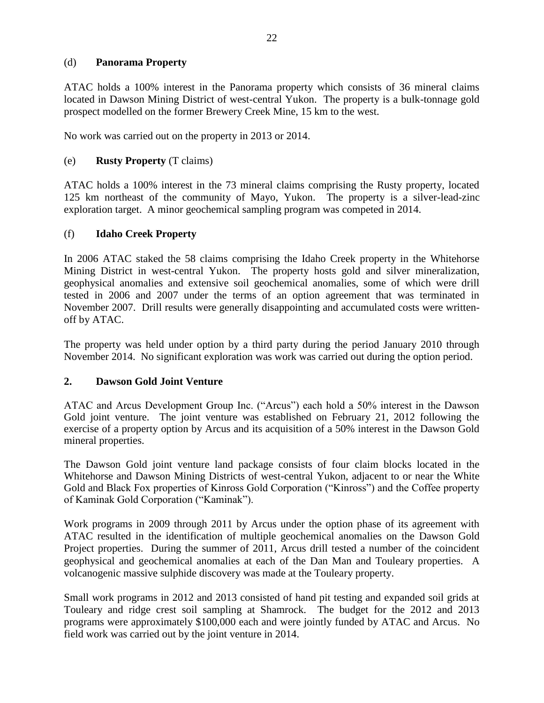### (d) **Panorama Property**

ATAC holds a 100% interest in the Panorama property which consists of 36 mineral claims located in Dawson Mining District of west-central Yukon. The property is a bulk-tonnage gold prospect modelled on the former Brewery Creek Mine, 15 km to the west.

No work was carried out on the property in 2013 or 2014.

### (e) **Rusty Property** (T claims)

ATAC holds a 100% interest in the 73 mineral claims comprising the Rusty property, located 125 km northeast of the community of Mayo, Yukon. The property is a silver-lead-zinc exploration target. A minor geochemical sampling program was competed in 2014.

#### (f) **Idaho Creek Property**

In 2006 ATAC staked the 58 claims comprising the Idaho Creek property in the Whitehorse Mining District in west-central Yukon. The property hosts gold and silver mineralization, geophysical anomalies and extensive soil geochemical anomalies, some of which were drill tested in 2006 and 2007 under the terms of an option agreement that was terminated in November 2007. Drill results were generally disappointing and accumulated costs were writtenoff by ATAC.

The property was held under option by a third party during the period January 2010 through November 2014. No significant exploration was work was carried out during the option period.

#### **2. Dawson Gold Joint Venture**

ATAC and Arcus Development Group Inc. ("Arcus") each hold a 50% interest in the Dawson Gold joint venture. The joint venture was established on February 21, 2012 following the exercise of a property option by Arcus and its acquisition of a 50% interest in the Dawson Gold mineral properties.

The Dawson Gold joint venture land package consists of four claim blocks located in the Whitehorse and Dawson Mining Districts of west-central Yukon, adjacent to or near the White Gold and Black Fox properties of Kinross Gold Corporation ("Kinross") and the Coffee property of Kaminak Gold Corporation ("Kaminak").

Work programs in 2009 through 2011 by Arcus under the option phase of its agreement with ATAC resulted in the identification of multiple geochemical anomalies on the Dawson Gold Project properties. During the summer of 2011, Arcus drill tested a number of the coincident geophysical and geochemical anomalies at each of the Dan Man and Touleary properties. A volcanogenic massive sulphide discovery was made at the Touleary property.

Small work programs in 2012 and 2013 consisted of hand pit testing and expanded soil grids at Touleary and ridge crest soil sampling at Shamrock. The budget for the 2012 and 2013 programs were approximately \$100,000 each and were jointly funded by ATAC and Arcus. No field work was carried out by the joint venture in 2014.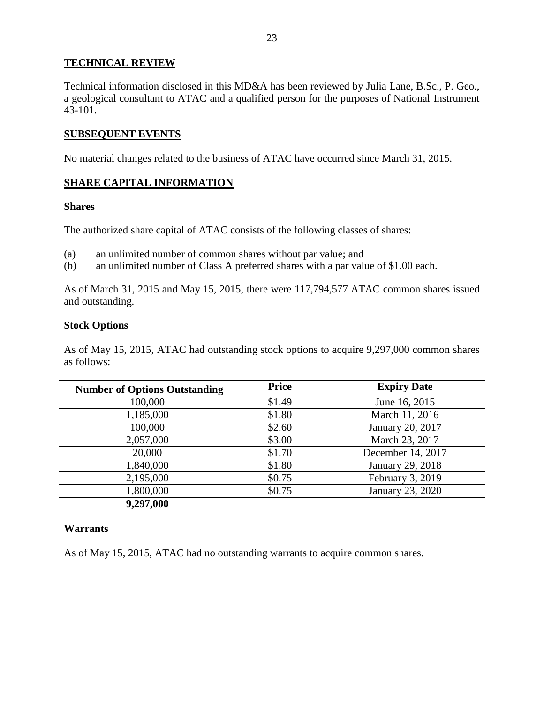### **TECHNICAL REVIEW**

Technical information disclosed in this MD&A has been reviewed by Julia Lane, B.Sc., P. Geo., a geological consultant to ATAC and a qualified person for the purposes of National Instrument  $43 - 101$ .

#### **SUBSEQUENT EVENTS**

No material changes related to the business of ATAC have occurred since March 31, 2015.

## **SHARE CAPITAL INFORMATION**

#### **Shares**

The authorized share capital of ATAC consists of the following classes of shares:

- (a) an unlimited number of common shares without par value; and
- (b) an unlimited number of Class A preferred shares with a par value of \$1.00 each.

As of March 31, 2015 and May 15, 2015, there were 117,794,577 ATAC common shares issued and outstanding.

#### **Stock Options**

As of May 15, 2015, ATAC had outstanding stock options to acquire 9,297,000 common shares as follows:

| <b>Number of Options Outstanding</b> | Price  | <b>Expiry Date</b> |
|--------------------------------------|--------|--------------------|
| 100,000                              | \$1.49 | June 16, 2015      |
| 1,185,000                            | \$1.80 | March 11, 2016     |
| 100,000                              | \$2.60 | January 20, 2017   |
| 2,057,000                            | \$3.00 | March 23, 2017     |
| 20,000                               | \$1.70 | December 14, 2017  |
| 1,840,000                            | \$1.80 | January 29, 2018   |
| 2,195,000                            | \$0.75 | February 3, 2019   |
| 1,800,000                            | \$0.75 | January 23, 2020   |
| 9,297,000                            |        |                    |

#### **Warrants**

As of May 15, 2015, ATAC had no outstanding warrants to acquire common shares.